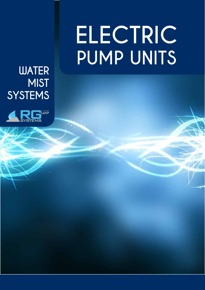## **ELECTRIC PUMP UNITS**

### **WATER MIST SYSTEMS**

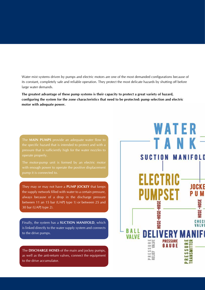Water mist systems driven by pumps and electric motors are one of the most demanded configurations because of its constant, completely safe and reliable operation. They protect the most delicate hazards by shutting off before large water demands.

**The greatest advantage of these pump systems is their capacity to protect a great variety of hazard, configuring the system for the zone characteristics that need to be protected: pump selection and electric motor with adequate power.**

The **MAIN PUMPS** provide an adequate water flow to the specific hazard that is intended to protect and with a

with enough power to operate the positive displacement

They may or may not have a **PUMP JOCKEY** that keeps the supply network filled with water to a certain pressure, always because of a drop in the discharge pressure between 11 an 15 bar (UAPJ type 1) or between 25 and 30 bar (UAPJ type 2).

Finally, the system has a **SUCTION MANIFOLD**, which is linked directly to the water supply system and connects to the drive pumps.

The **DISCHARGE HOSES** of the main and jockey pumps, as well as the anti-return valves, connect the equipment to the drive accumulator.

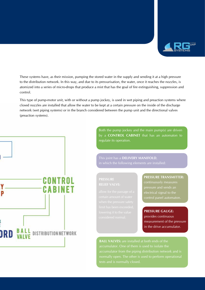

These systems have, as their mission, pumping the stored water in the supply and sending it at a high pressure to the distribution network. In this way, and due to its pressurisation, the water, once it reaches the nozzles, is atomized into a series of micro-drops that produce a mist that has the goal of fire extinguishing, suppression and control.

This type of pump-motor unit, with or without a pump jockey, is used in wet piping and preaction systems where closed nozzles are installed that allow the water to be kept at a certain pressure on the inside of the discharge network (wet piping systems) or in the branch considered between the pump unit and the directional valves (preaction systems).



Both the pump jockey and the main pump(s) are driven by a **CONTROL CABINET** that has an automaton to regulate its operation.

This joint has a **DELIVERY MANIFOLD**,

#### **PRESSURE**

**PRESSURE TRANSMITTER:** pressure and sends an electrical signal to the

**PRESSURE GAUGE:**  provides continuous measurement of the pressure in the drive accumulator.

**BALL VALVES:** are installed at both ends of the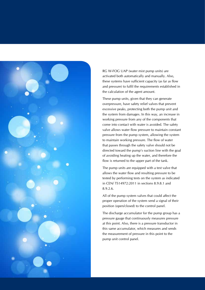

RG W-FOG UAP (water mist pump units) are activated both automatically and manually. Also, these systems have sufficient capacity (as far as flow and pressure) to fulfil the requirements established in the calculation of the agent amount.

These pump units, given that they can generate overpressure, have safety relief valves that prevent excessive peaks, protecting both the pump unit and the system from damages. In this way, an increase in working pressure from any of the components that come into contact with water is avoided. The safety valve allows water flow pressure to maintain constant pressure from the pump system, allowing the system to maintain working pressure. The flow of water that passes through the safety valve should not be directed toward the pump's suction line with the goal of avoiding heating up the water, and therefore the flow is returned to the upper part of the tank.

The pump units are equipped with a test valve that allows the water flow and resulting pressure to be tested by performing tests on the system as indicated in CEN/ TS14972:2011 in sections 8.9.8.1 and 8.9.2.6.

All of the pump system valves that could affect the proper operation of the system send a signal of their position (open/closed) to the control panel.

The discharge accumulator for the pump group has a pressure gauge that continuously measures pressure at this point. Also, there is a pressure transductor in this same accumulator, which measures and sends the measurement of pressure in this point to the pump unit control panel.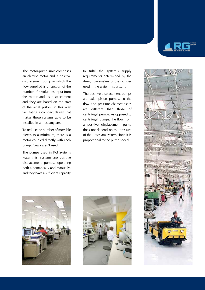

The motor-pump unit comprises an electric motor and a positive displacement pump in which the flow supplied is a function of the number of revolutions input from the motor and its displacement and they are based on the start of the axial piston, in this way facilitating a compact design that makes these systems able to be installed in almost any area.

To reduce the number of movable pieces to a minimum, there is a motor coupled directly with each pump. Gears aren't used.

The pumps used in RG Systems water mist systems are positive displacement pumps, operating both automatically and manually, and they have a sufficient capacity to fulfil the system's supply requirements determined by the design parameters of the nozzles used in the water mist system.

The positive displacement pumps are axial piston pumps, so the flow and pressure characteristics are different than those of centrifugal pumps. As opposed to centrifugal pumps, the flow from a positive displacement pump does not depend on the pressure of the upstream system since it is proportional to the pump speed.

![](_page_4_Picture_6.jpeg)

![](_page_4_Picture_7.jpeg)

![](_page_4_Picture_8.jpeg)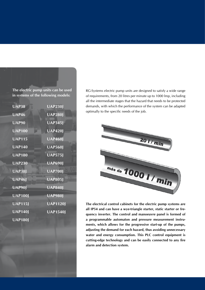**The electric pump units can be used in systems of the following models:**

| UAP38          | <b>UAP230J</b>  |
|----------------|-----------------|
| <b>UAP46</b>   | <b>UAP280J</b>  |
| <b>UAP90</b>   | UAP345J         |
| <b>UAP100</b>  | <b>UAP420J</b>  |
| <b>UAP115</b>  | <b>UAP460J</b>  |
| <b>UAP140</b>  | <b>UAP560J</b>  |
| <b>UAP180</b>  | <b>UAP575J</b>  |
| <b>UAP230</b>  | <b>UAP690J</b>  |
| <b>UAP38J</b>  | <b>UAP700J</b>  |
| <b>UAP46J</b>  | <b>UAP805J</b>  |
| <b>UAP90J</b>  | <b>UAP840J</b>  |
| <b>UAP100J</b> | <b>UAP980J</b>  |
| <b>UAP115J</b> | <b>UAP1120J</b> |
| <b>UAP140J</b> | <b>UAP1540J</b> |
| <b>UAP1801</b> |                 |

RG-Systems electric pump units are designed to satisfy a wide range of requirements, from 20 litres per minute up to 1000 lmp, including all the intermediate stages that the hazard that needs to be protected demands, with which the performance of the system can be adapted optimally to the specific needs of the job.

![](_page_5_Picture_3.jpeg)

**The electrical control cabinets for the electric pump systems are all IP54 and can have a wye-triangle starter, static starter or frequency inverter. The control and manoeuvre panel is formed of a programmable automaton and pressure measurement instruments, which allows for the progressive start-up of the pumps, adjusting the demand for each hazard, thus avoiding unnecessary water and energy consumption. This PLC control equipment is cutting-edge technology and can be easily connected to any fire alarm and detection system.**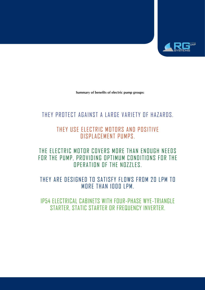![](_page_6_Picture_0.jpeg)

**Summary of benefits of electric pump groups:**

#### THEY PROTECT AGAINST A LARGE VARIETY OF HAZARDS.

#### THEY USE ELECTRIC MOTORS AND POSITIVE DISPLACEMENT PUMPS.

#### THE ELECTRIC MOTOR COVERS MORE THAN ENOUGH NEEDS FOR THE PUMP, PROVIDING OPTIMUM CONDITIONS FOR THE OPERATION OF THE NOZZLES.

#### THEY ARE DESIGNED TO SATISEY FLOWS FROM 20 LPM TO MORE THAN 1000 LPM.

IP54 ELECTRICAL CABINETS WITH FOUR-PHASE WYE-TRIANGLE STARTER, STATIC STARTER OR FREQUENCY INVERTER.